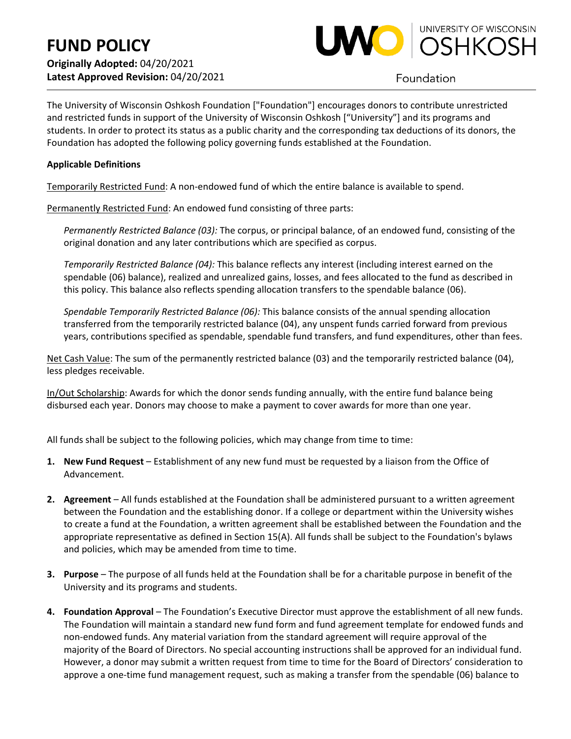

Foundation

The University of Wisconsin Oshkosh Foundation ["Foundation"] encourages donors to contribute unrestricted and restricted funds in support of the University of Wisconsin Oshkosh ["University"] and its programs and students. In order to protect its status as a public charity and the corresponding tax deductions of its donors, the Foundation has adopted the following policy governing funds established at the Foundation.

## **Applicable Definitions**

Temporarily Restricted Fund: A non-endowed fund of which the entire balance is available to spend.

Permanently Restricted Fund: An endowed fund consisting of three parts:

*Permanently Restricted Balance (03):* The corpus, or principal balance, of an endowed fund, consisting of the original donation and any later contributions which are specified as corpus.

*Temporarily Restricted Balance (04):* This balance reflects any interest (including interest earned on the spendable (06) balance), realized and unrealized gains, losses, and fees allocated to the fund as described in this policy. This balance also reflects spending allocation transfers to the spendable balance (06).

*Spendable Temporarily Restricted Balance (06):* This balance consists of the annual spending allocation transferred from the temporarily restricted balance (04), any unspent funds carried forward from previous years, contributions specified as spendable, spendable fund transfers, and fund expenditures, other than fees.

Net Cash Value: The sum of the permanently restricted balance (03) and the temporarily restricted balance (04), less pledges receivable.

In/Out Scholarship: Awards for which the donor sends funding annually, with the entire fund balance being disbursed each year. Donors may choose to make a payment to cover awards for more than one year.

All funds shall be subject to the following policies, which may change from time to time:

- **1. New Fund Request** Establishment of any new fund must be requested by a liaison from the Office of Advancement.
- **2. Agreement** All funds established at the Foundation shall be administered pursuant to a written agreement between the Foundation and the establishing donor. If a college or department within the University wishes to create a fund at the Foundation, a written agreement shall be established between the Foundation and the appropriate representative as defined in Section 15(A). All funds shall be subject to the Foundation's bylaws and policies, which may be amended from time to time.
- **3. Purpose** The purpose of all funds held at the Foundation shall be for a charitable purpose in benefit of the University and its programs and students.
- **4. Foundation Approval** The Foundation's Executive Director must approve the establishment of all new funds. The Foundation will maintain a standard new fund form and fund agreement template for endowed funds and non-endowed funds. Any material variation from the standard agreement will require approval of the majority of the Board of Directors. No special accounting instructions shall be approved for an individual fund. However, a donor may submit a written request from time to time for the Board of Directors' consideration to approve a one-time fund management request, such as making a transfer from the spendable (06) balance to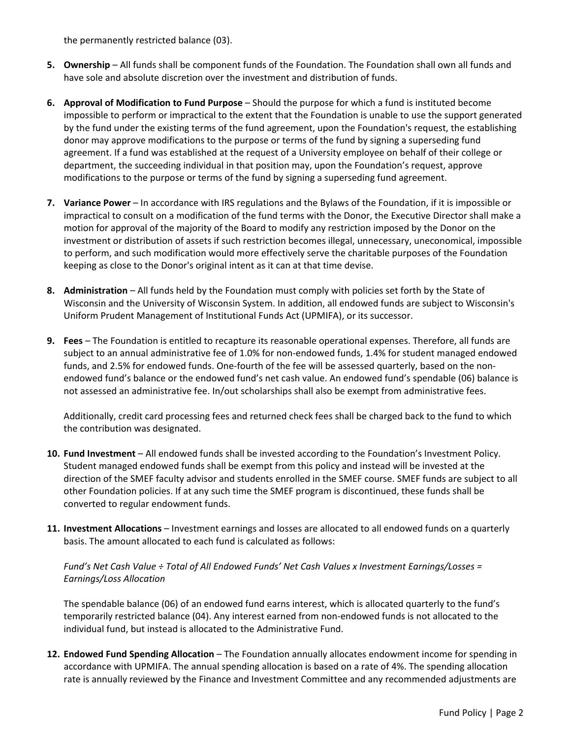the permanently restricted balance (03).

- **5. Ownership** All funds shall be component funds of the Foundation. The Foundation shall own all funds and have sole and absolute discretion over the investment and distribution of funds.
- **6. Approval of Modification to Fund Purpose**  Should the purpose for which a fund is instituted become impossible to perform or impractical to the extent that the Foundation is unable to use the support generated by the fund under the existing terms of the fund agreement, upon the Foundation's request, the establishing donor may approve modifications to the purpose or terms of the fund by signing a superseding fund agreement. If a fund was established at the request of a University employee on behalf of their college or department, the succeeding individual in that position may, upon the Foundation's request, approve modifications to the purpose or terms of the fund by signing a superseding fund agreement.
- **7. Variance Power** In accordance with IRS regulations and the Bylaws of the Foundation, if it is impossible or impractical to consult on a modification of the fund terms with the Donor, the Executive Director shall make a motion for approval of the majority of the Board to modify any restriction imposed by the Donor on the investment or distribution of assets if such restriction becomes illegal, unnecessary, uneconomical, impossible to perform, and such modification would more effectively serve the charitable purposes of the Foundation keeping as close to the Donor's original intent as it can at that time devise.
- **8. Administration**  All funds held by the Foundation must comply with policies set forth by the State of Wisconsin and the University of Wisconsin System. In addition, all endowed funds are subject to Wisconsin's Uniform Prudent Management of Institutional Funds Act (UPMIFA), or its successor.
- **9. Fees** The Foundation is entitled to recapture its reasonable operational expenses. Therefore, all funds are subject to an annual administrative fee of 1.0% for non-endowed funds, 1.4% for student managed endowed funds, and 2.5% for endowed funds. One-fourth of the fee will be assessed quarterly, based on the nonendowed fund's balance or the endowed fund's net cash value. An endowed fund's spendable (06) balance is not assessed an administrative fee. In/out scholarships shall also be exempt from administrative fees.

Additionally, credit card processing fees and returned check fees shall be charged back to the fund to which the contribution was designated.

- **10. Fund Investment** All endowed funds shall be invested according to the Foundation's Investment Policy. Student managed endowed funds shall be exempt from this policy and instead will be invested at the direction of the SMEF faculty advisor and students enrolled in the SMEF course. SMEF funds are subject to all other Foundation policies. If at any such time the SMEF program is discontinued, these funds shall be converted to regular endowment funds.
- **11. Investment Allocations** Investment earnings and losses are allocated to all endowed funds on a quarterly basis. The amount allocated to each fund is calculated as follows:

*Fund's Net Cash Value ÷ Total of All Endowed Funds' Net Cash Values x Investment Earnings/Losses = Earnings/Loss Allocation*

The spendable balance (06) of an endowed fund earns interest, which is allocated quarterly to the fund's temporarily restricted balance (04). Any interest earned from non-endowed funds is not allocated to the individual fund, but instead is allocated to the Administrative Fund.

**12. Endowed Fund Spending Allocation** – The Foundation annually allocates endowment income for spending in accordance with UPMIFA. The annual spending allocation is based on a rate of 4%. The spending allocation rate is annually reviewed by the Finance and Investment Committee and any recommended adjustments are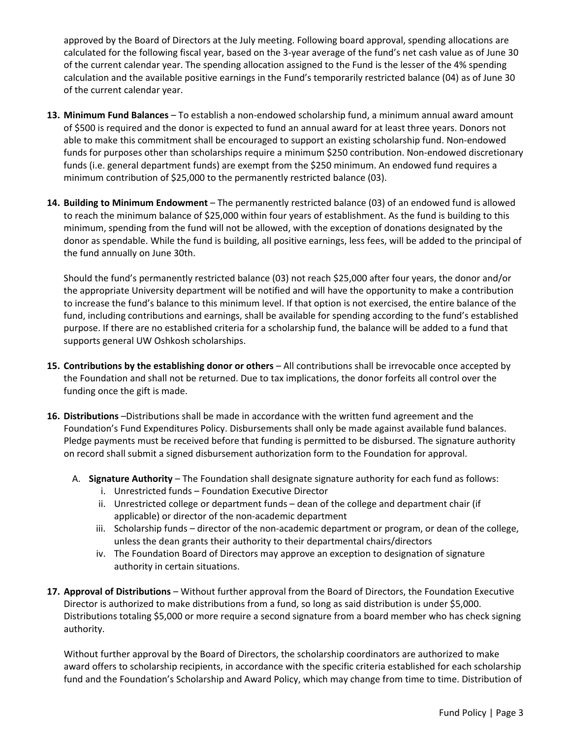approved by the Board of Directors at the July meeting. Following board approval, spending allocations are calculated for the following fiscal year, based on the 3-year average of the fund's net cash value as of June 30 of the current calendar year. The spending allocation assigned to the Fund is the lesser of the 4% spending calculation and the available positive earnings in the Fund's temporarily restricted balance (04) as of June 30 of the current calendar year.

- **13. Minimum Fund Balances**  To establish a non-endowed scholarship fund, a minimum annual award amount of \$500 is required and the donor is expected to fund an annual award for at least three years. Donors not able to make this commitment shall be encouraged to support an existing scholarship fund. Non-endowed funds for purposes other than scholarships require a minimum \$250 contribution. Non-endowed discretionary funds (i.e. general department funds) are exempt from the \$250 minimum. An endowed fund requires a minimum contribution of \$25,000 to the permanently restricted balance (03).
- **14. Building to Minimum Endowment**  The permanently restricted balance (03) of an endowed fund is allowed to reach the minimum balance of \$25,000 within four years of establishment. As the fund is building to this minimum, spending from the fund will not be allowed, with the exception of donations designated by the donor as spendable. While the fund is building, all positive earnings, less fees, will be added to the principal of the fund annually on June 30th.

Should the fund's permanently restricted balance (03) not reach \$25,000 after four years, the donor and/or the appropriate University department will be notified and will have the opportunity to make a contribution to increase the fund's balance to this minimum level. If that option is not exercised, the entire balance of the fund, including contributions and earnings, shall be available for spending according to the fund's established purpose. If there are no established criteria for a scholarship fund, the balance will be added to a fund that supports general UW Oshkosh scholarships.

- **15. Contributions by the establishing donor or others** All contributions shall be irrevocable once accepted by the Foundation and shall not be returned. Due to tax implications, the donor forfeits all control over the funding once the gift is made.
- **16. Distributions** –Distributions shall be made in accordance with the written fund agreement and the Foundation's Fund Expenditures Policy. Disbursements shall only be made against available fund balances. Pledge payments must be received before that funding is permitted to be disbursed. The signature authority on record shall submit a signed disbursement authorization form to the Foundation for approval.
	- A. **Signature Authority**  The Foundation shall designate signature authority for each fund as follows:
		- i. Unrestricted funds Foundation Executive Director
		- ii. Unrestricted college or department funds dean of the college and department chair (if applicable) or director of the non-academic department
		- iii. Scholarship funds director of the non-academic department or program, or dean of the college, unless the dean grants their authority to their departmental chairs/directors
		- iv. The Foundation Board of Directors may approve an exception to designation of signature authority in certain situations.
- **17. Approval of Distributions** Without further approval from the Board of Directors, the Foundation Executive Director is authorized to make distributions from a fund, so long as said distribution is under \$5,000. Distributions totaling \$5,000 or more require a second signature from a board member who has check signing authority.

Without further approval by the Board of Directors, the scholarship coordinators are authorized to make award offers to scholarship recipients, in accordance with the specific criteria established for each scholarship fund and the Foundation's Scholarship and Award Policy, which may change from time to time. Distribution of